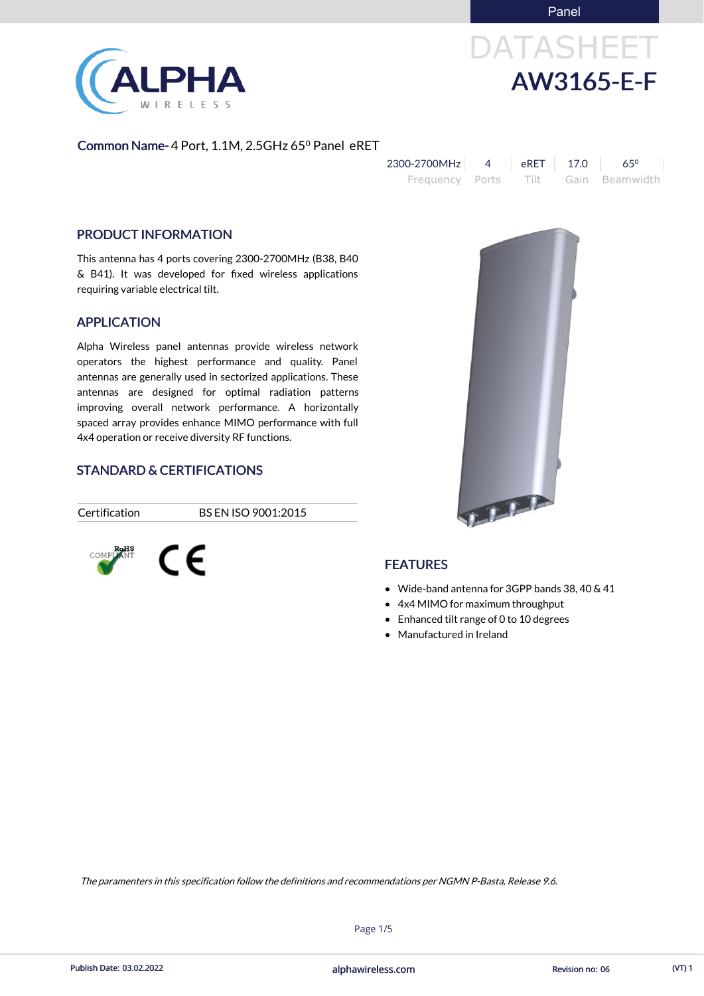# DATASHEET AW3165-E-F

### Common Name- 4 Port, 1.1M, 2.5GHz 65<sup>°</sup> Panel eRET

| 2300-2700MHz | eRET 17.0 | 650                                 |
|--------------|-----------|-------------------------------------|
|              |           | Frequency Ports Tilt Gain Beamwidth |

### PRODUCT INFORMATION

This antenna has 4 ports covering 2300-2700MHz (B38, B40 & B41). It was developed for fixed wireless applications requiring variable electrical tilt.

### APPLICATION

Alpha Wireless panel antennas provide wireless network operators the highest performance and quality. Panel antennas are generally used in sectorized applications. These antennas are designed for optimal radiation patterns improving overall network performance. A horizontally spaced array provides enhance MIMO performance with full 4x4 operation or receive diversity RF functions.

### STANDARD & CERTIFICATIONS

Certification BS EN ISO 9001:2015

### **ROHS**<br>COMPLANT CE

### FEATURES

- Wide-band antenna for 3GPP bands 38, 40 & 41
- 4x4 MIMO for maximum throughput
- Enhanced tilt range of 0 to 10 degrees
- Manufactured in Ireland





Page 1/5

The paramenters in this specification follow the definitions and recommendations per NGMN P-Basta, Release 9.6.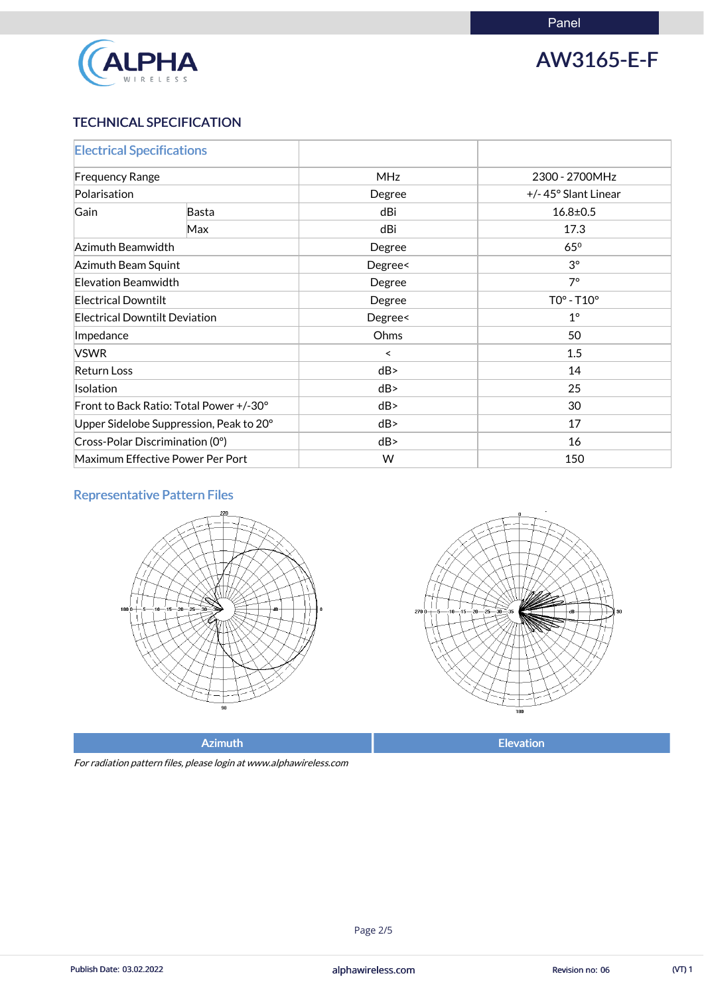

### AW3165-E-F

### TECHNICAL SPECIFICATION

| <b>Electrical Specifications</b>        |              |            |                     |  |
|-----------------------------------------|--------------|------------|---------------------|--|
| <b>Frequency Range</b>                  |              | <b>MHz</b> | 2300 - 2700MHz      |  |
| Polarisation                            |              | Degree     | +/-45° Slant Linear |  |
| Gain                                    | <b>Basta</b> | dBi        | $16.8 \pm 0.5$      |  |
|                                         | Max          | dBi        | 17.3                |  |
| Azimuth Beamwidth                       |              | Degree     | $65^\circ$          |  |
| Azimuth Beam Squint                     |              | Degree<    | $3^\circ$           |  |
| Elevation Beamwidth                     |              | Degree     | $7^\circ$           |  |
| <b>Electrical Downtilt</b>              |              | Degree     | $TOo - T10o$        |  |
| <b>Electrical Downtilt Deviation</b>    |              | Degree<    | $1^{\circ}$         |  |
| Impedance                               |              | Ohms       | 50                  |  |
| <b>VSWR</b>                             |              | $\prec$    | 1.5                 |  |
| <b>Return Loss</b>                      |              | dB         | 14                  |  |
| Isolation                               |              | dB         | 25                  |  |
| Front to Back Ratio: Total Power +/-30° |              | dB         | 30                  |  |
| Upper Sidelobe Suppression, Peak to 20° |              | dB         | 17                  |  |
| Cross-Polar Discrimination (0°)         |              | dB         | 16                  |  |
| Maximum Effective Power Per Port        |              | W          | 150                 |  |

### Representative Pattern Files





Azimuth **Elevation** 

For radiation pattern files, please login at www.alphawireless.com

### alphawireless.com

Publish Date: 03.02.2022 **Revision no: 06** (VT) 1

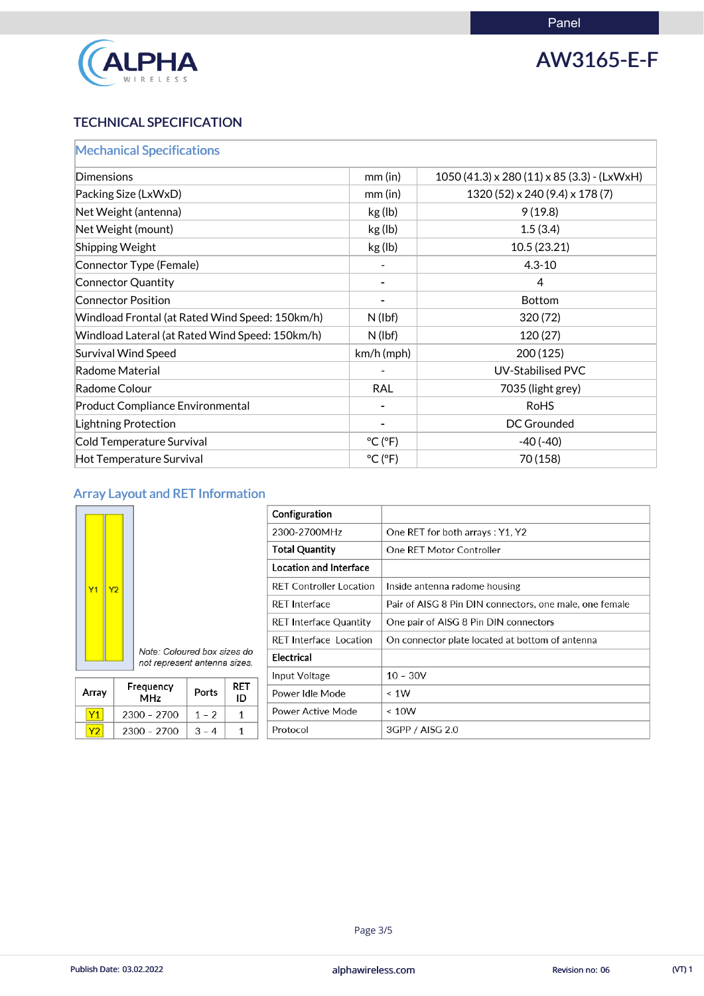

## AW3165-E-F

### TECHNICAL SPECIFICATION

| <b>Mechanical Specifications</b>                |                              |                                                      |
|-------------------------------------------------|------------------------------|------------------------------------------------------|
| Dimensions                                      | mm (in)                      | $1050(41.3) \times 280(11) \times 85(3.3)$ - (LxWxH) |
| Packing Size (LxWxD)                            | $mm$ (in)                    | 1320 (52) x 240 (9.4) x 178 (7)                      |
| Net Weight (antenna)                            | kg (lb)                      | 9(19.8)                                              |
| Net Weight (mount)                              | kg (lb)                      | 1.5(3.4)                                             |
| <b>Shipping Weight</b>                          | kg (lb)                      | 10.5(23.21)                                          |
| Connector Type (Female)                         |                              | $4.3 - 10$                                           |
| Connector Quantity                              |                              | $\overline{4}$                                       |
| <b>Connector Position</b>                       |                              | <b>Bottom</b>                                        |
| Windload Frontal (at Rated Wind Speed: 150km/h) | $N$ (lbf)                    | 320 (72)                                             |
| Windload Lateral (at Rated Wind Speed: 150km/h) | $N$ (lbf)                    | 120(27)                                              |
| Survival Wind Speed                             | $km/h$ (mph)                 | 200 (125)                                            |
| Radome Material                                 |                              | <b>UV-Stabilised PVC</b>                             |
| Radome Colour                                   | <b>RAL</b>                   | 7035 (light grey)                                    |
| <b>Product Compliance Environmental</b>         |                              | <b>RoHS</b>                                          |
| Lightning Protection                            |                              | DC Grounded                                          |
| Cold Temperature Survival                       | $^{\circ}$ C ( $^{\circ}$ F) | $-40(-40)$                                           |
| Hot Temperature Survival                        | $^{\circ}$ C ( $^{\circ}$ F) | 70 (158)                                             |

### Array Layout and RET Information

|           |                |                                                             |         |                  | Configuration                  |                                                         |
|-----------|----------------|-------------------------------------------------------------|---------|------------------|--------------------------------|---------------------------------------------------------|
|           |                |                                                             |         |                  | 2300-2700MHz                   | One RET for both arrays: Y1, Y2                         |
|           |                |                                                             |         |                  | <b>Total Quantity</b>          | One RET Motor Controller                                |
|           |                |                                                             |         |                  | <b>Location and Interface</b>  |                                                         |
| <b>Y1</b> | Y <sub>2</sub> |                                                             |         |                  | <b>RET Controller Location</b> | Inside antenna radome housing                           |
|           |                |                                                             |         |                  | <b>RET</b> Interface           | Pair of AISG 8 Pin DIN connectors, one male, one female |
|           |                |                                                             |         |                  | <b>RET Interface Quantity</b>  | One pair of AISG 8 Pin DIN connectors                   |
|           |                |                                                             |         |                  | <b>RET Interface Location</b>  | On connector plate located at bottom of antenna         |
|           |                | Note: Coloured box sizes do<br>not represent antenna sizes. |         |                  | Electrical                     |                                                         |
|           |                |                                                             |         |                  | Input Voltage                  | $10 - 30V$                                              |
| Array     |                | Frequency<br>MHz                                            | Ports   | <b>RET</b><br>ID | Power Idle Mode                | $\leq 1W$                                               |
| Y1        |                | 2300 - 2700                                                 | $1 - 2$ | 1                | Power Active Mode              | ~< 10W                                                  |
| Y2        |                | $2300 - 2700$                                               | $3 - 4$ | 1                | Protocol                       | 3GPP / AISG 2.0                                         |

### alphawireless.com

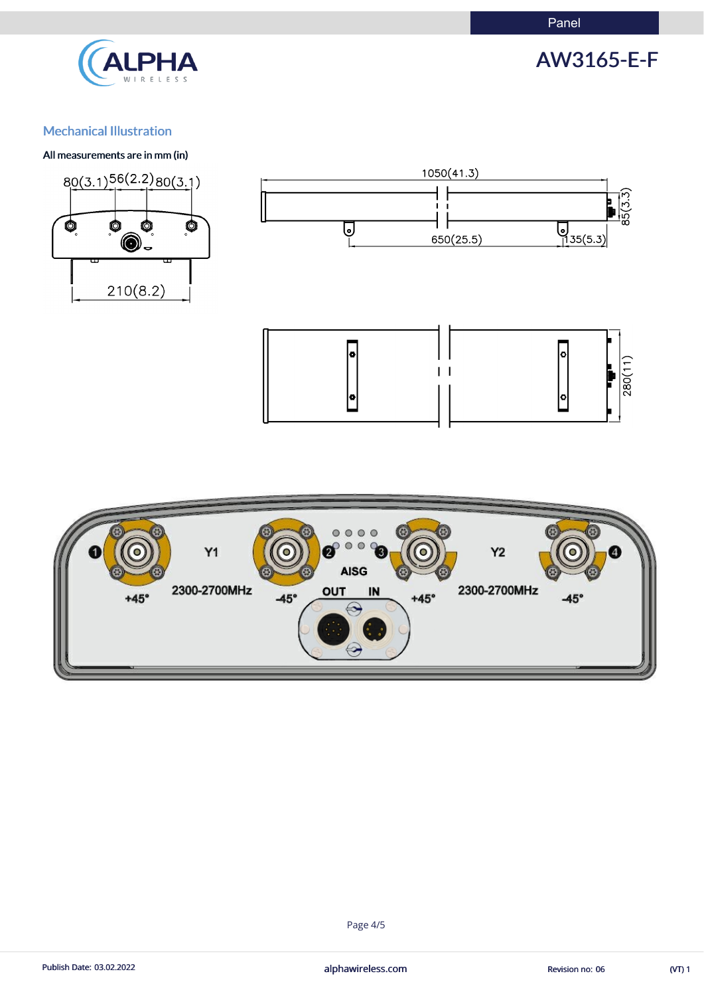

## AW3165-E-F

### Mechanical Illustration

### All measurements are in mm (in)







(VT) 1



### Publish Date: 03.02.2022 **alphawireless.com** alphawireless.com Revision no: 06